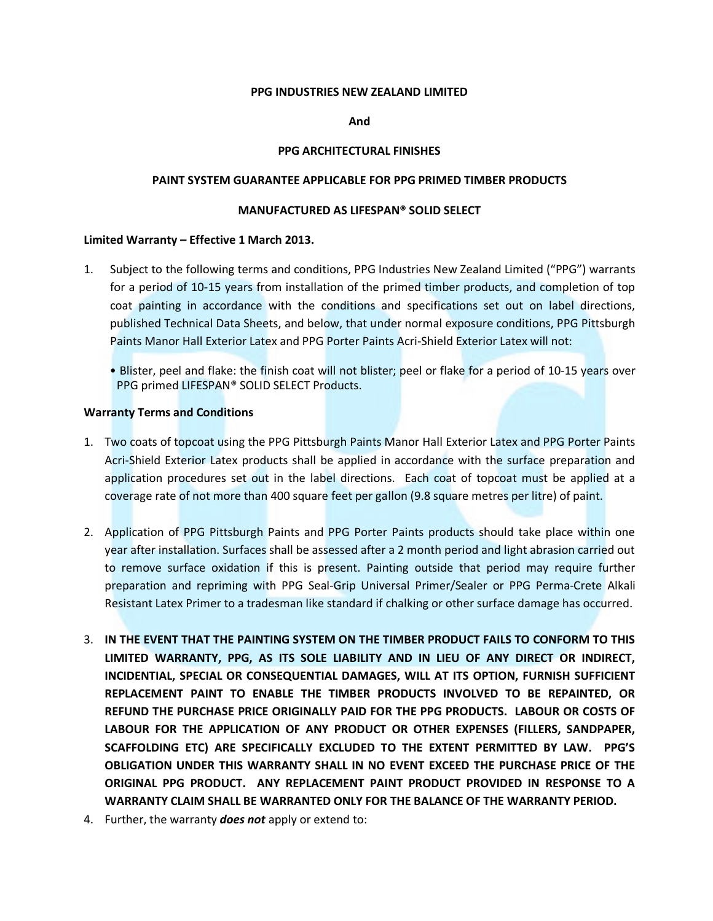# PPG INDUSTRIES NEW ZEALAND LIMITED

# And

# PPG ARCHITECTURAL FINISHES

# PAINT SYSTEM GUARANTEE APPLICABLE FOR PPG PRIMED TIMBER PRODUCTS

# MANUFACTURED AS LIFESPAN® SOLID SELECT

#### Limited Warranty – Effective 1 March 2013.

- 1. Subject to the following terms and conditions, PPG Industries New Zealand Limited ("PPG") warrants for a period of 10-15 years from installation of the primed timber products, and completion of top coat painting in accordance with the conditions and specifications set out on label directions, published Technical Data Sheets, and below, that under normal exposure conditions, PPG Pittsburgh Paints Manor Hall Exterior Latex and PPG Porter Paints Acri-Shield Exterior Latex will not:
	- Blister, peel and flake: the finish coat will not blister; peel or flake for a period of 10-15 years over PPG primed LIFESPAN® SOLID SELECT Products.

#### Warranty Terms and Conditions

- 1. Two coats of topcoat using the PPG Pittsburgh Paints Manor Hall Exterior Latex and PPG Porter Paints Acri-Shield Exterior Latex products shall be applied in accordance with the surface preparation and application procedures set out in the label directions. Each coat of topcoat must be applied at a coverage rate of not more than 400 square feet per gallon (9.8 square metres per litre) of paint.
- 2. Application of PPG Pittsburgh Paints and PPG Porter Paints products should take place within one year after installation. Surfaces shall be assessed after a 2 month period and light abrasion carried out to remove surface oxidation if this is present. Painting outside that period may require further preparation and repriming with PPG Seal-Grip Universal Primer/Sealer or PPG Perma-Crete Alkali Resistant Latex Primer to a tradesman like standard if chalking or other surface damage has occurred.
- 3. IN THE EVENT THAT THE PAINTING SYSTEM ON THE TIMBER PRODUCT FAILS TO CONFORM TO THIS LIMITED WARRANTY, PPG, AS ITS SOLE LIABILITY AND IN LIEU OF ANY DIRECT OR INDIRECT, INCIDENTIAL, SPECIAL OR CONSEQUENTIAL DAMAGES, WILL AT ITS OPTION, FURNISH SUFFICIENT REPLACEMENT PAINT TO ENABLE THE TIMBER PRODUCTS INVOLVED TO BE REPAINTED, OR REFUND THE PURCHASE PRICE ORIGINALLY PAID FOR THE PPG PRODUCTS. LABOUR OR COSTS OF LABOUR FOR THE APPLICATION OF ANY PRODUCT OR OTHER EXPENSES (FILLERS, SANDPAPER, SCAFFOLDING ETC) ARE SPECIFICALLY EXCLUDED TO THE EXTENT PERMITTED BY LAW. PPG'S OBLIGATION UNDER THIS WARRANTY SHALL IN NO EVENT EXCEED THE PURCHASE PRICE OF THE ORIGINAL PPG PRODUCT. ANY REPLACEMENT PAINT PRODUCT PROVIDED IN RESPONSE TO A WARRANTY CLAIM SHALL BE WARRANTED ONLY FOR THE BALANCE OF THE WARRANTY PERIOD.
- 4. Further, the warranty **does not** apply or extend to: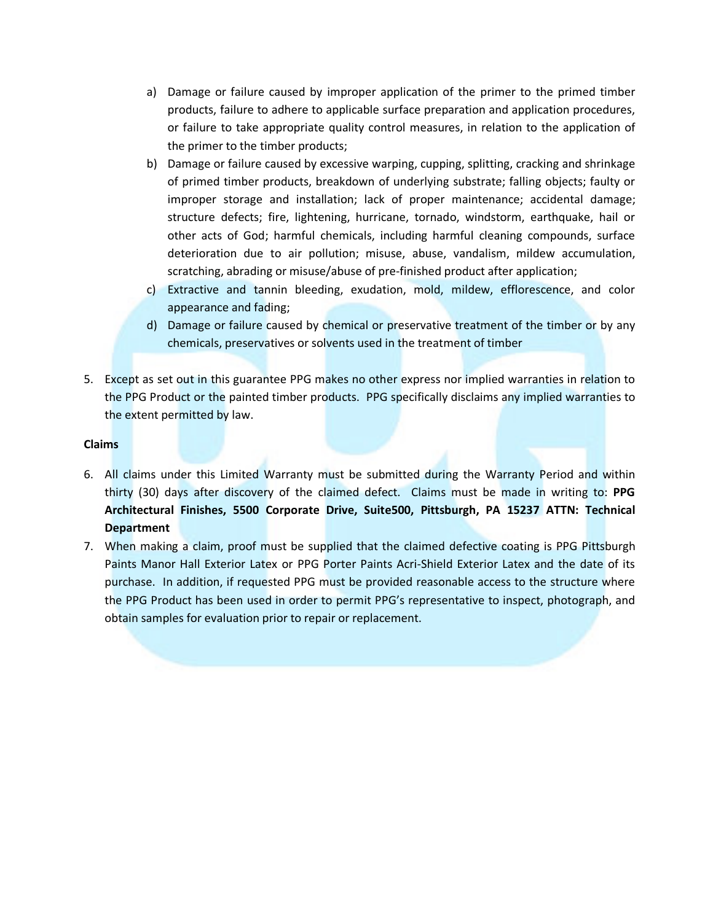- a) Damage or failure caused by improper application of the primer to the primed timber products, failure to adhere to applicable surface preparation and application procedures, or failure to take appropriate quality control measures, in relation to the application of the primer to the timber products;
- b) Damage or failure caused by excessive warping, cupping, splitting, cracking and shrinkage of primed timber products, breakdown of underlying substrate; falling objects; faulty or improper storage and installation; lack of proper maintenance; accidental damage; structure defects; fire, lightening, hurricane, tornado, windstorm, earthquake, hail or other acts of God; harmful chemicals, including harmful cleaning compounds, surface deterioration due to air pollution; misuse, abuse, vandalism, mildew accumulation, scratching, abrading or misuse/abuse of pre-finished product after application;
- c) Extractive and tannin bleeding, exudation, mold, mildew, efflorescence, and color appearance and fading;
- d) Damage or failure caused by chemical or preservative treatment of the timber or by any chemicals, preservatives or solvents used in the treatment of timber
- 5. Except as set out in this guarantee PPG makes no other express nor implied warranties in relation to the PPG Product or the painted timber products. PPG specifically disclaims any implied warranties to the extent permitted by law.

# Claims

- 6. All claims under this Limited Warranty must be submitted during the Warranty Period and within thirty (30) days after discovery of the claimed defect. Claims must be made in writing to: PPG Architectural Finishes, 5500 Corporate Drive, Suite500, Pittsburgh, PA 15237 ATTN: Technical **Department**
- 7. When making a claim, proof must be supplied that the claimed defective coating is PPG Pittsburgh Paints Manor Hall Exterior Latex or PPG Porter Paints Acri-Shield Exterior Latex and the date of its purchase. In addition, if requested PPG must be provided reasonable access to the structure where the PPG Product has been used in order to permit PPG's representative to inspect, photograph, and obtain samples for evaluation prior to repair or replacement.